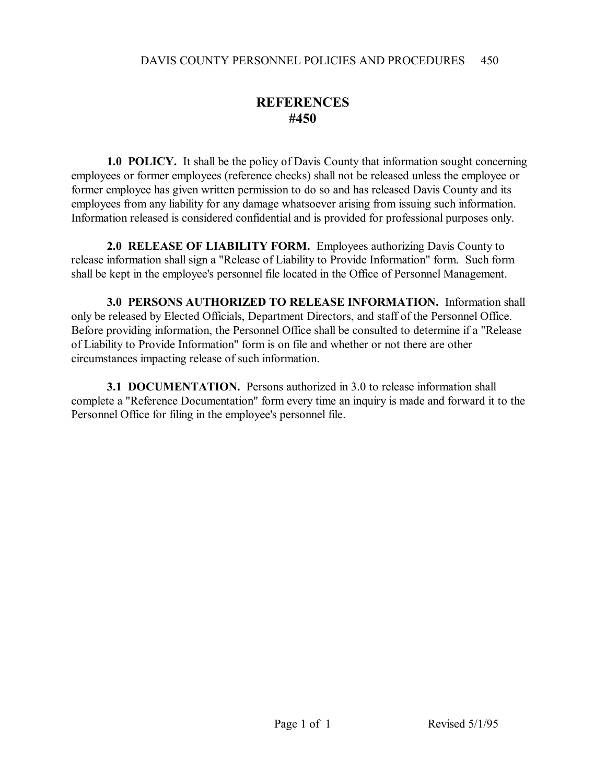## **REFERENCES #450**

**1.0 POLICY.** It shall be the policy of Davis County that information sought concerning employees or former employees (reference checks) shall not be released unless the employee or former employee has given written permission to do so and has released Davis County and its employees from any liability for any damage whatsoever arising from issuing such information. Information released is considered confidential and is provided for professional purposes only.

**2.0 RELEASE OF LIABILITY FORM.** Employees authorizing Davis County to release information shall sign a "Release of Liability to Provide Information" form. Such form shall be kept in the employee's personnel file located in the Office of Personnel Management.

**3.0 PERSONS AUTHORIZED TO RELEASE INFORMATION.** Information shall only be released by Elected Officials, Department Directors, and staff of the Personnel Office. Before providing information, the Personnel Office shall be consulted to determine if a "Release of Liability to Provide Information" form is on file and whether or not there are other circumstances impacting release of such information.

**3.1 DOCUMENTATION.** Persons authorized in 3.0 to release information shall complete a "Reference Documentation" form every time an inquiry is made and forward it to the Personnel Office for filing in the employee's personnel file.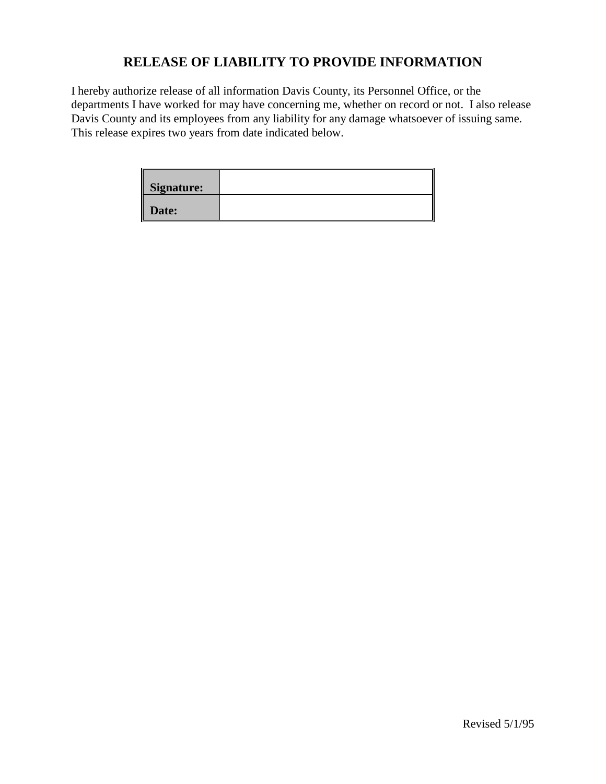## **RELEASE OF LIABILITY TO PROVIDE INFORMATION**

I hereby authorize release of all information Davis County, its Personnel Office, or the departments I have worked for may have concerning me, whether on record or not. I also release Davis County and its employees from any liability for any damage whatsoever of issuing same. This release expires two years from date indicated below.

| <b>Signature:</b> |  |
|-------------------|--|
| Date:             |  |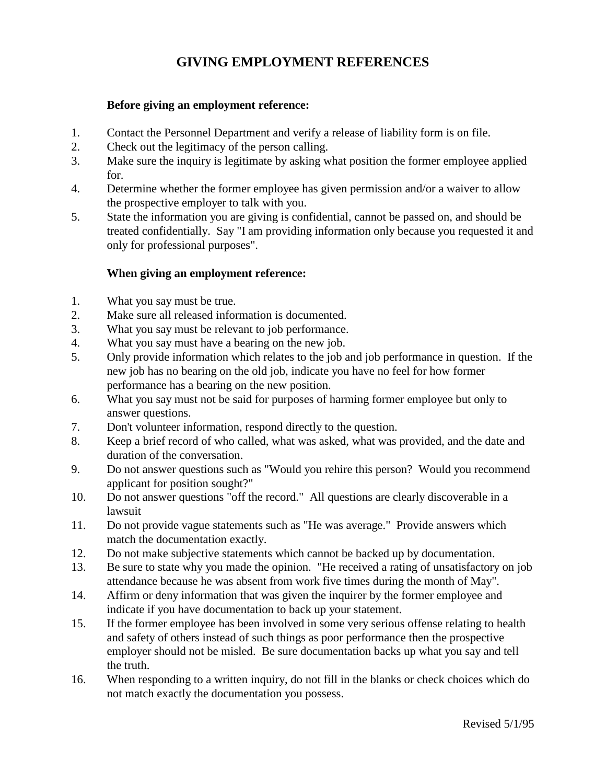## **GIVING EMPLOYMENT REFERENCES**

#### **Before giving an employment reference:**

- 1. Contact the Personnel Department and verify a release of liability form is on file.
- 2. Check out the legitimacy of the person calling.
- 3. Make sure the inquiry is legitimate by asking what position the former employee applied for.
- 4. Determine whether the former employee has given permission and/or a waiver to allow the prospective employer to talk with you.
- 5. State the information you are giving is confidential, cannot be passed on, and should be treated confidentially. Say "I am providing information only because you requested it and only for professional purposes".

#### **When giving an employment reference:**

- 1. What you say must be true.
- 2. Make sure all released information is documented.
- 3. What you say must be relevant to job performance.
- 4. What you say must have a bearing on the new job.
- 5. Only provide information which relates to the job and job performance in question. If the new job has no bearing on the old job, indicate you have no feel for how former performance has a bearing on the new position.
- 6. What you say must not be said for purposes of harming former employee but only to answer questions.
- 7. Don't volunteer information, respond directly to the question.
- 8. Keep a brief record of who called, what was asked, what was provided, and the date and duration of the conversation.
- 9. Do not answer questions such as "Would you rehire this person? Would you recommend applicant for position sought?"
- 10. Do not answer questions "off the record." All questions are clearly discoverable in a lawsuit
- 11. Do not provide vague statements such as "He was average." Provide answers which match the documentation exactly.
- 12. Do not make subjective statements which cannot be backed up by documentation.
- 13. Be sure to state why you made the opinion. "He received a rating of unsatisfactory on job attendance because he was absent from work five times during the month of May".
- 14. Affirm or deny information that was given the inquirer by the former employee and indicate if you have documentation to back up your statement.
- 15. If the former employee has been involved in some very serious offense relating to health and safety of others instead of such things as poor performance then the prospective employer should not be misled. Be sure documentation backs up what you say and tell the truth.
- 16. When responding to a written inquiry, do not fill in the blanks or check choices which do not match exactly the documentation you possess.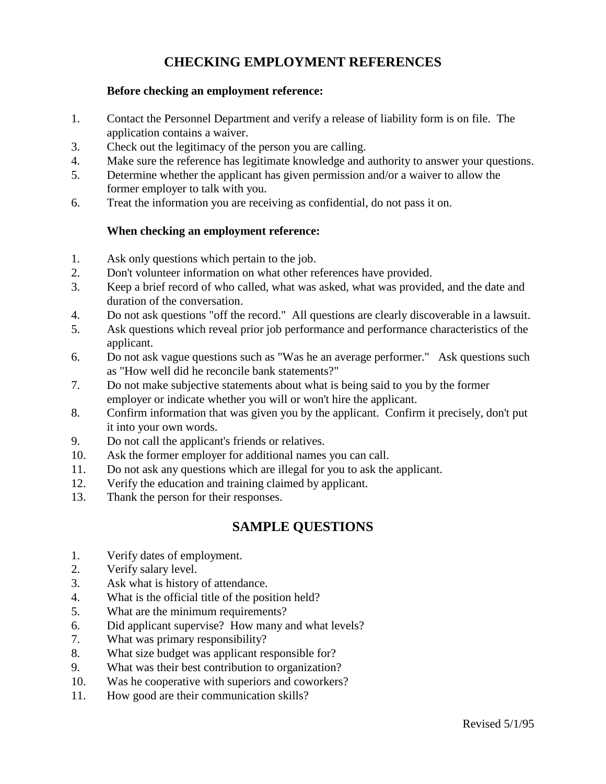## **CHECKING EMPLOYMENT REFERENCES**

#### **Before checking an employment reference:**

- 1. Contact the Personnel Department and verify a release of liability form is on file. The application contains a waiver.
- 3. Check out the legitimacy of the person you are calling.
- 4. Make sure the reference has legitimate knowledge and authority to answer your questions.
- 5. Determine whether the applicant has given permission and/or a waiver to allow the former employer to talk with you.
- 6. Treat the information you are receiving as confidential, do not pass it on.

#### **When checking an employment reference:**

- 1. Ask only questions which pertain to the job.
- 2. Don't volunteer information on what other references have provided.
- 3. Keep a brief record of who called, what was asked, what was provided, and the date and duration of the conversation.
- 4. Do not ask questions "off the record." All questions are clearly discoverable in a lawsuit.
- 5. Ask questions which reveal prior job performance and performance characteristics of the applicant.
- 6. Do not ask vague questions such as "Was he an average performer." Ask questions such as "How well did he reconcile bank statements?"
- 7. Do not make subjective statements about what is being said to you by the former employer or indicate whether you will or won't hire the applicant.
- 8. Confirm information that was given you by the applicant. Confirm it precisely, don't put it into your own words.
- 9. Do not call the applicant's friends or relatives.
- 10. Ask the former employer for additional names you can call.
- 11. Do not ask any questions which are illegal for you to ask the applicant.
- 12. Verify the education and training claimed by applicant.
- 13. Thank the person for their responses.

#### **SAMPLE QUESTIONS**

- 1. Verify dates of employment.
- 2. Verify salary level.
- 3. Ask what is history of attendance.
- 4. What is the official title of the position held?
- 5. What are the minimum requirements?
- 6. Did applicant supervise? How many and what levels?
- 7. What was primary responsibility?
- 8. What size budget was applicant responsible for?
- 9. What was their best contribution to organization?
- 10. Was he cooperative with superiors and coworkers?
- 11. How good are their communication skills?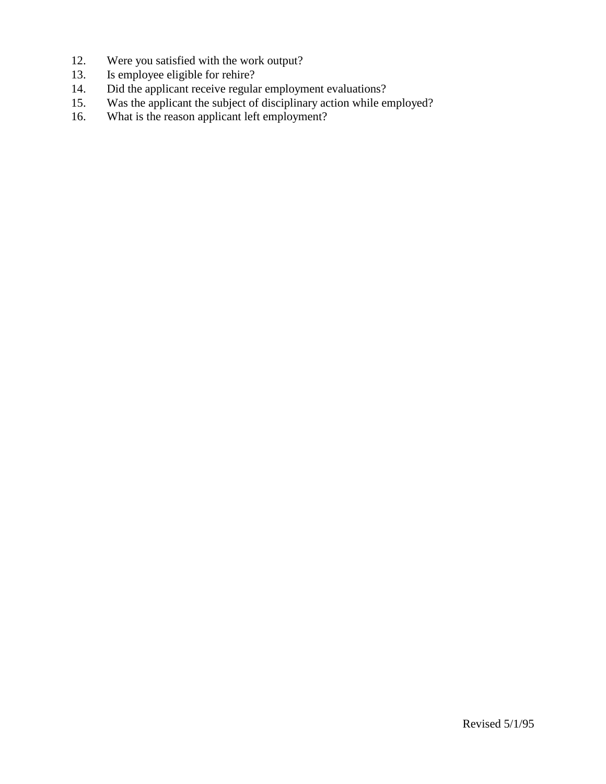- 12. Were you satisfied with the work output?<br>13. Is employee eligible for rehire?
- 13. Is employee eligible for rehire?<br>14. Did the applicant receive regula
- Did the applicant receive regular employment evaluations?
- 15. Was the applicant the subject of disciplinary action while employed?<br>16. What is the reason applicant left employment?
- What is the reason applicant left employment?